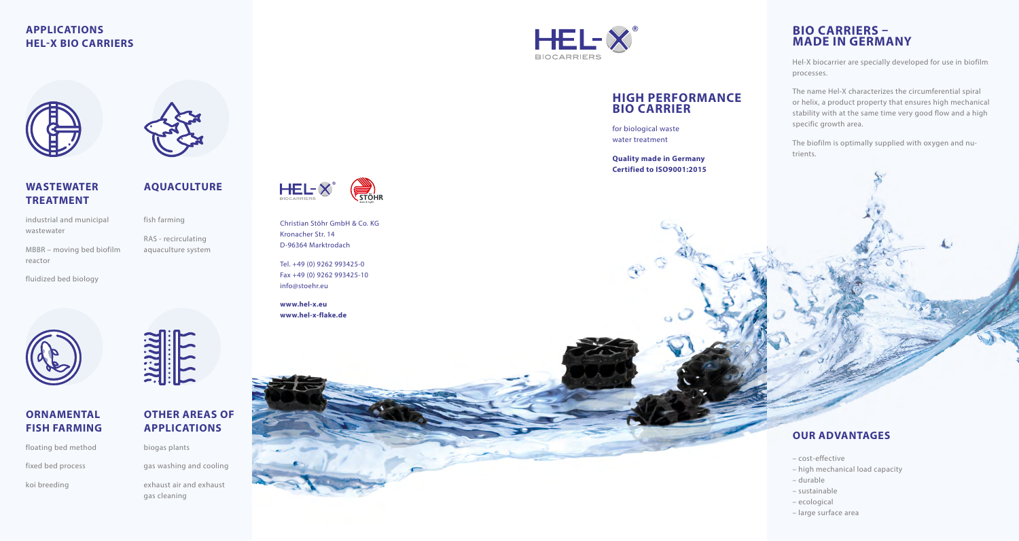# **APPLICATIONS HEL-X BIO CARRIERS**



fish farming

RAS - recirculating aquaculture system

**AQUACULTURE**

**TREATMENT** industrial and municipal

**WASTEWATER**

wastewater

MBBR – moving bed biofilm reactor

fluidized bed biology



# **ORNAMENTAL FISH FARMING**

floating bed method fixed bed process

koi breeding

exhaust air and exhaust gas cleaning

biogas plants

**OTHER AREAS OF APPLICATIONS**

gas washing and cooling

 $HEL \times^{\circ}$ **BIOCARRIERS** 

# **HIGH PERFORMANCE BIO CARRIER**

for biological waste water treatment

**Quality made in Germany Certified to ISO9001:2015**

# **BIO CARRIERS – MADE IN GERMANY**

Hel-X biocarrier are specially developed for use in biofilm processes.

The name Hel-X characterizes the circumferential spiral or helix, a product property that ensures high mechanical stability with at the same time very good flow and a high specific growth area.

The biofilm is optimally supplied with oxygen and nutrients.

# **OUR ADVANTAGES**

- cost-effective
- high mechanical load capacity
- durable
- sustainable
- ecological
- large surface area

**HEL-X STÖHR** 

Christian Stöhr GmbH & Co. KG Kronacher Str. 14 D-96364 Marktrodach

Tel. +49 (0) 9262 993425-0 Fax +49 (0) 9262 993425-10 info@stoehr.eu

**www.hel-x.eu www.hel-x-flake.de**